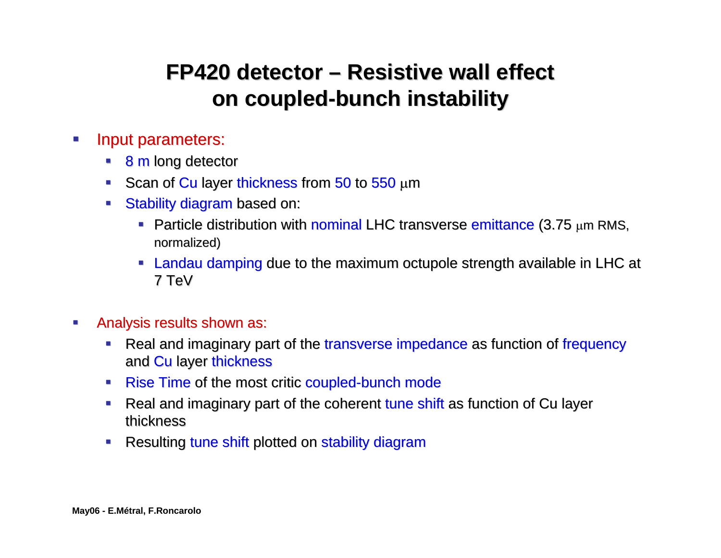## **FP420 detector – Resistive wall effect on coupled-bunch instability**

- $\mathcal{L}_{\mathcal{A}}$ Input parameters:
	- **8 m long detector**
	- Scan of Cu layer thickness from 50 to 550  $\mu$ m
	- **Stability diagram based on: based on:** 
		- **Particle distribution with nominal LHC transverse emittance (3.75 µm RMS,** normalized)
		- Landau damping due to the maximum octupole strength available in LHC at  $\overline{\phantom{a}}$ 7 TeV
- $\mathcal{L}_{\mathcal{A}}$ Analysis results shown as:
	- $\blacksquare$ Real and imaginary part of the transverse impedance as function of frequency and Cu layer thickness
	- Rise Time of the most critic coupled-bunch mode
	- $\mathcal{L}_{\mathcal{A}}$ Real and imaginary part of the coherent tune shift as function of Cu layer thickness
	- Resulting tune shift plotted on stability diagram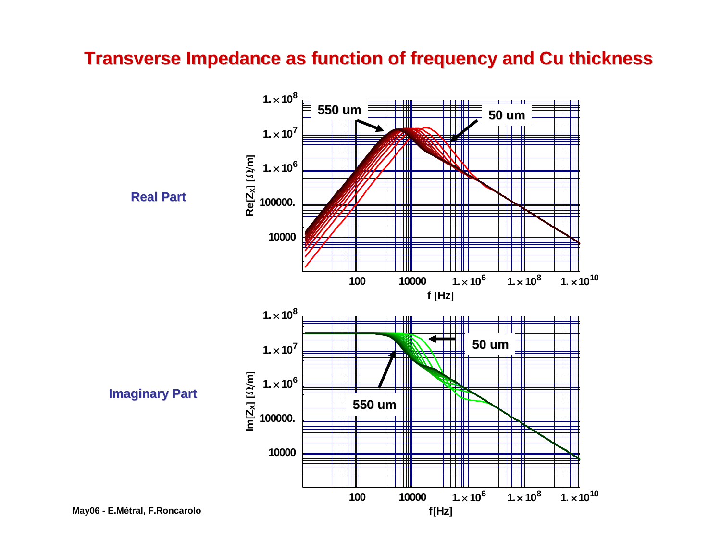## **Transverse Impedance as function of frequency and Cu thickness**

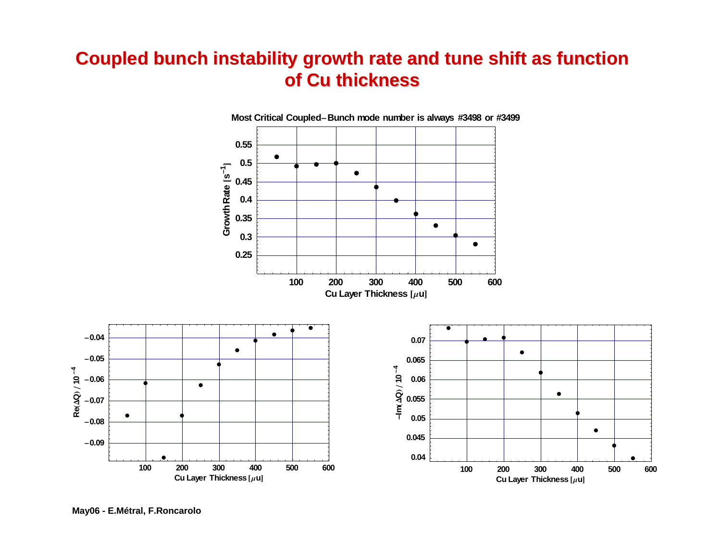## **Coupled bunch instability growth rate and tune shift as function Coupled bunch instability growth rate and tune shift as function of Cu thickness of Cu thickness**



**May06 - E.Métral, F.Roncarolo**